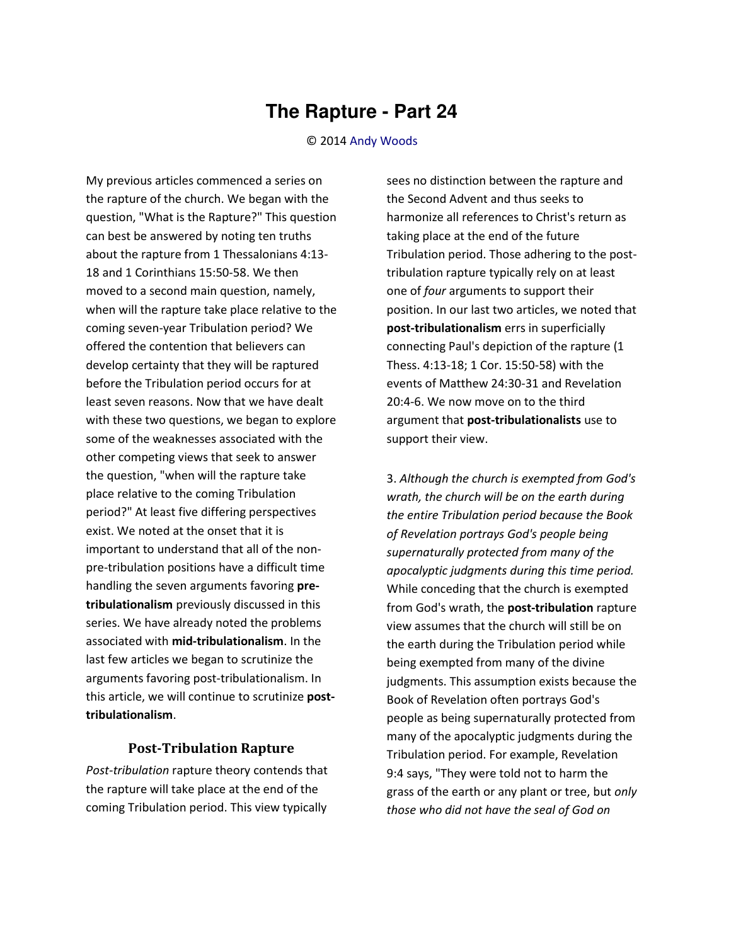## **The Rapture - Part 24**

## © 2014 [Andy Woods](http://www.spiritandtruth.org/id/aw.htm)

My previous articles commenced a series on the rapture of the church. We began with the question, "What is the Rapture?" This question can best be answered by noting ten truths about the rapture from 1 Thessalonians 4:13- 18 and 1 Corinthians 15:50-58. We then moved to a second main question, namely, when will the rapture take place relative to the coming seven-year Tribulation period? We offered the contention that believers can develop certainty that they will be raptured before the Tribulation period occurs for at least seven reasons. Now that we have dealt with these two questions, we began to explore some of the weaknesses associated with the other competing views that seek to answer the question, "when will the rapture take place relative to the coming Tribulation period?" At least five differing perspectives exist. We noted at the onset that it is important to understand that all of the nonpre-tribulation positions have a difficult time handling the seven arguments favoring **pretribulationalism** previously discussed in this series. We have already noted the problems associated with **mid-tribulationalism**. In the last few articles we began to scrutinize the arguments favoring post-tribulationalism. In this article, we will continue to scrutinize **posttribulationalism**.

## **Post-Tribulation Rapture**

*Post-tribulation* rapture theory contends that the rapture will take place at the end of the coming Tribulation period. This view typically

sees no distinction between the rapture and the Second Advent and thus seeks to harmonize all references to Christ's return as taking place at the end of the future Tribulation period. Those adhering to the posttribulation rapture typically rely on at least one of *four* arguments to support their position. In our last two articles, we noted that **post-tribulationalism** errs in superficially connecting Paul's depiction of the rapture (1 Thess. 4:13-18; 1 Cor. 15:50-58) with the events of Matthew 24:30-31 and Revelation 20:4-6. We now move on to the third argument that **post-tribulationalists** use to support their view.

3. *Although the church is exempted from God's wrath, the church will be on the earth during the entire Tribulation period because the Book of Revelation portrays God's people being supernaturally protected from many of the apocalyptic judgments during this time period.* While conceding that the church is exempted from God's wrath, the **post-tribulation** rapture view assumes that the church will still be on the earth during the Tribulation period while being exempted from many of the divine judgments. This assumption exists because the Book of Revelation often portrays God's people as being supernaturally protected from many of the apocalyptic judgments during the Tribulation period. For example, Revelation 9:4 says, "They were told not to harm the grass of the earth or any plant or tree, but *only those who did not have the seal of God on*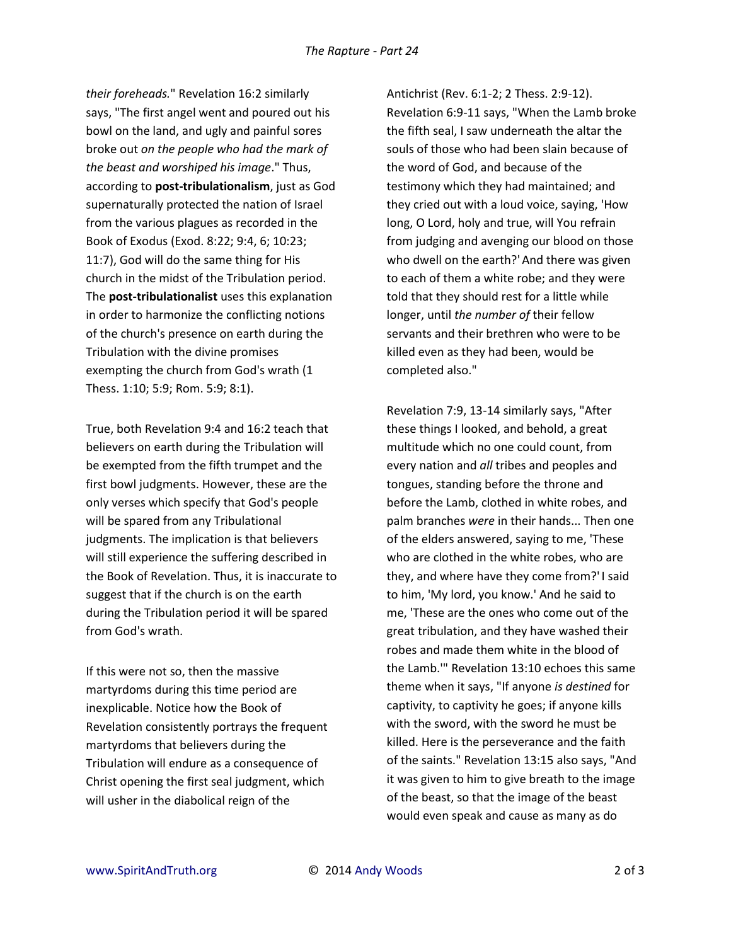*their foreheads.*" Revelation 16:2 similarly says, "The first angel went and poured out his bowl on the land, and ugly and painful sores broke out *on the people who had the mark of the beast and worshiped his image*." Thus, according to **post-tribulationalism**, just as God supernaturally protected the nation of Israel from the various plagues as recorded in the Book of Exodus (Exod. 8:22; 9:4, 6; 10:23; 11:7), God will do the same thing for His church in the midst of the Tribulation period. The **post-tribulationalist** uses this explanation in order to harmonize the conflicting notions of the church's presence on earth during the Tribulation with the divine promises exempting the church from God's wrath (1 Thess. 1:10; 5:9; Rom. 5:9; 8:1).

True, both Revelation 9:4 and 16:2 teach that believers on earth during the Tribulation will be exempted from the fifth trumpet and the first bowl judgments. However, these are the only verses which specify that God's people will be spared from any Tribulational judgments. The implication is that believers will still experience the suffering described in the Book of Revelation. Thus, it is inaccurate to suggest that if the church is on the earth during the Tribulation period it will be spared from God's wrath.

If this were not so, then the massive martyrdoms during this time period are inexplicable. Notice how the Book of Revelation consistently portrays the frequent martyrdoms that believers during the Tribulation will endure as a consequence of Christ opening the first seal judgment, which will usher in the diabolical reign of the

Antichrist (Rev. 6:1-2; 2 Thess. 2:9-12). Revelation 6:9-11 says, "When the Lamb broke the fifth seal, I saw underneath the altar the souls of those who had been slain because of the word of God, and because of the testimony which they had maintained; and they cried out with a loud voice, saying, 'How long, O Lord, holy and true, will You refrain from judging and avenging our blood on those who dwell on the earth?' And there was given to each of them a white robe; and they were told that they should rest for a little while longer, until *the number of* their fellow servants and their brethren who were to be killed even as they had been, would be completed also."

Revelation 7:9, 13-14 similarly says, "After these things I looked, and behold, a great multitude which no one could count, from every nation and *all* tribes and peoples and tongues, standing before the throne and before the Lamb, clothed in white robes, and palm branches *were* in their hands... Then one of the elders answered, saying to me, 'These who are clothed in the white robes, who are they, and where have they come from?' I said to him, 'My lord, you know.' And he said to me, 'These are the ones who come out of the great tribulation, and they have washed their robes and made them white in the blood of the Lamb.'" Revelation 13:10 echoes this same theme when it says, "If anyone *is destined* for captivity, to captivity he goes; if anyone kills with the sword, with the sword he must be killed. Here is the perseverance and the faith of the saints." Revelation 13:15 also says, "And it was given to him to give breath to the image of the beast, so that the image of the beast would even speak and cause as many as do